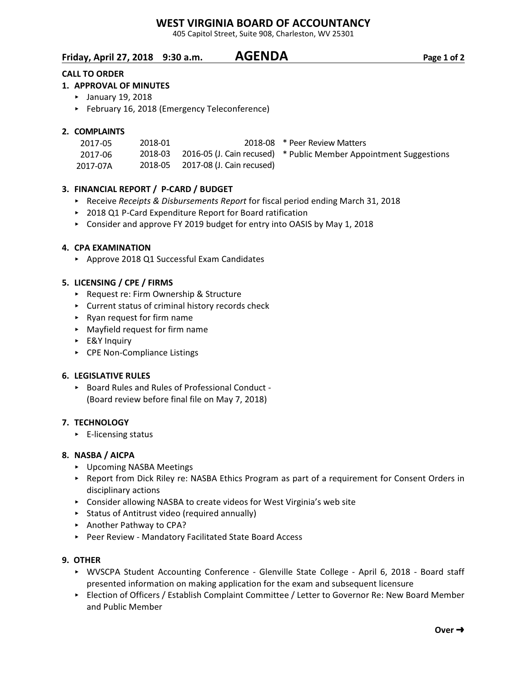# **WEST VIRGINIA BOARD OF ACCOUNTANCY**

405 Capitol Street, Suite 908, Charleston, WV 25301

**Friday, April 27, 2018 9:30 a.m. AGENDA Page 1 of 2**

# **CALL TO ORDER**

# **1. APPROVAL OF MINUTES**

- < January 19, 2018
- < February 16, 2018 (Emergency Teleconference)

## **2. COMPLAINTS**

| 2017-05  | 2018-01 |                                   | 2018-08 * Peer Review Matters                                             |
|----------|---------|-----------------------------------|---------------------------------------------------------------------------|
| 2017-06  |         |                                   | 2018-03 2016-05 (J. Cain recused) * Public Member Appointment Suggestions |
| 2017-07A |         | 2018-05 2017-08 (J. Cain recused) |                                                                           |

# **3. FINANCIAL REPORT / P-CARD / BUDGET**

- ► Receive *Receipts & Disbursements Report* for fiscal period ending March 31, 2018
- ▶ 2018 Q1 P-Card Expenditure Report for Board ratification
- ▶ Consider and approve FY 2019 budget for entry into OASIS by May 1, 2018

## **4. CPA EXAMINATION**

▶ Approve 2018 Q1 Successful Exam Candidates

## **5. LICENSING / CPE / FIRMS**

- ▶ Request re: Firm Ownership & Structure
- $\triangleright$  Current status of criminal history records check
- < Ryan request for firm name
- < Mayfield request for firm name
- < E&Y Inquiry
- ▶ CPE Non-Compliance Listings

#### **6. LEGISLATIVE RULES**

< Board Rules and Rules of Professional Conduct - (Board review before final file on May 7, 2018)

#### **7. TECHNOLOGY**

 $\blacktriangleright$  E-licensing status

#### **8. NASBA / AICPA**

- **•** Upcoming NASBA Meetings
- ▶ Report from Dick Riley re: NASBA Ethics Program as part of a requirement for Consent Orders in disciplinary actions
- ▶ Consider allowing NASBA to create videos for West Virginia's web site
- $\triangleright$  Status of Antitrust video (required annually)
- ▶ Another Pathway to CPA?
- ▶ Peer Review Mandatory Facilitated State Board Access

#### **9. OTHER**

- < WVSCPA Student Accounting Conference Glenville State College April 6, 2018 Board staff presented information on making application for the exam and subsequent licensure
- ▶ Election of Officers / Establish Complaint Committee / Letter to Governor Re: New Board Member and Public Member